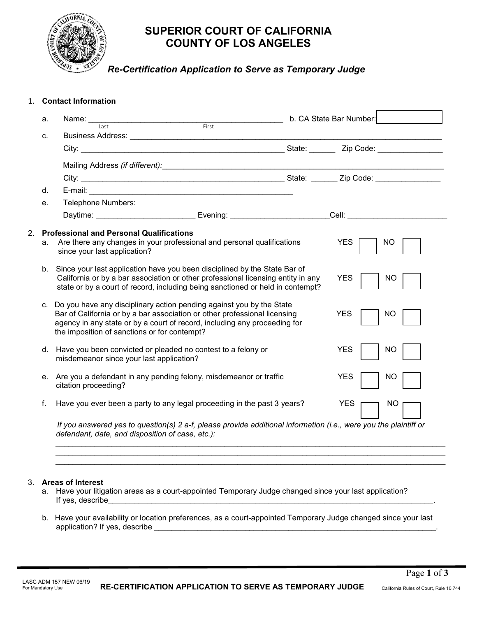

# **SUPERIOR COURT OF CALIFORNIA COUNTY OF LOS ANGELES**

 *Re-Certification Application to Serve as Temporary Judge* 

| 1. |          | <b>Contact Information</b>                                                                                                                                                                                                                                                                                                                                                                                                                                                                                                        |                                                                                                                                                                                                                                |  |                          |                 |
|----|----------|-----------------------------------------------------------------------------------------------------------------------------------------------------------------------------------------------------------------------------------------------------------------------------------------------------------------------------------------------------------------------------------------------------------------------------------------------------------------------------------------------------------------------------------|--------------------------------------------------------------------------------------------------------------------------------------------------------------------------------------------------------------------------------|--|--------------------------|-----------------|
|    | a.       |                                                                                                                                                                                                                                                                                                                                                                                                                                                                                                                                   |                                                                                                                                                                                                                                |  | b. CA State Bar Number:  |                 |
|    | C.       |                                                                                                                                                                                                                                                                                                                                                                                                                                                                                                                                   | Business Address: National Property of the Contract of the Contract of the Contract of the Contract of the Contract of the Contract of the Contract of the Contract of the Contract of the Contract of the Contract of the Con |  |                          |                 |
|    |          |                                                                                                                                                                                                                                                                                                                                                                                                                                                                                                                                   |                                                                                                                                                                                                                                |  |                          |                 |
|    |          |                                                                                                                                                                                                                                                                                                                                                                                                                                                                                                                                   |                                                                                                                                                                                                                                |  |                          |                 |
|    |          |                                                                                                                                                                                                                                                                                                                                                                                                                                                                                                                                   |                                                                                                                                                                                                                                |  |                          |                 |
|    | d.       |                                                                                                                                                                                                                                                                                                                                                                                                                                                                                                                                   |                                                                                                                                                                                                                                |  |                          |                 |
|    | е.       | Telephone Numbers:                                                                                                                                                                                                                                                                                                                                                                                                                                                                                                                |                                                                                                                                                                                                                                |  |                          |                 |
|    |          |                                                                                                                                                                                                                                                                                                                                                                                                                                                                                                                                   | Daytime: __________________________Evening: _________________________Cell: ________________________                                                                                                                            |  |                          |                 |
|    | b.<br>C. | Since your last application have you been disciplined by the State Bar of<br>California or by a bar association or other professional licensing entity in any<br>state or by a court of record, including being sanctioned or held in contempt?<br>Do you have any disciplinary action pending against you by the State<br>Bar of California or by a bar association or other professional licensing<br>agency in any state or by a court of record, including any proceeding for<br>the imposition of sanctions or for contempt? |                                                                                                                                                                                                                                |  | <b>YES</b><br><b>YES</b> | NO<br><b>NO</b> |
|    | d.       | misdemeanor since your last application?                                                                                                                                                                                                                                                                                                                                                                                                                                                                                          | Have you been convicted or pleaded no contest to a felony or                                                                                                                                                                   |  | <b>YES</b>               | <b>NO</b>       |
|    | е.       | citation proceeding?                                                                                                                                                                                                                                                                                                                                                                                                                                                                                                              | Are you a defendant in any pending felony, misdemeanor or traffic                                                                                                                                                              |  | <b>YES</b>               | <b>NO</b>       |
|    | f.       |                                                                                                                                                                                                                                                                                                                                                                                                                                                                                                                                   | Have you ever been a party to any legal proceeding in the past 3 years?                                                                                                                                                        |  | <b>YES</b>               | <b>NO</b>       |
|    |          |                                                                                                                                                                                                                                                                                                                                                                                                                                                                                                                                   | If you answered ves to question(s) 2 a-f, please provide additional information (i.e., were you the plaintiff or                                                                                                               |  |                          |                 |

*If you answered yes to question(s) 2 a-f, please provide additional information (i.e., were you the plaintiff or defendant, date, and disposition of case, etc.):*

*\_\_\_\_\_\_\_\_\_\_\_\_\_\_\_\_\_\_\_\_\_\_\_\_\_\_\_\_\_\_\_\_\_\_\_\_\_\_\_\_\_\_\_\_\_\_\_\_\_\_\_\_\_\_\_\_\_\_\_\_\_\_\_\_\_\_\_\_\_\_\_\_\_\_\_\_\_\_\_\_\_\_\_\_\_\_\_\_\_\_ \_\_\_\_\_\_\_\_\_\_\_\_\_\_\_\_\_\_\_\_\_\_\_\_\_\_\_\_\_\_\_\_\_\_\_\_\_\_\_\_\_\_\_\_\_\_\_\_\_\_\_\_\_\_\_\_\_\_\_\_\_\_\_\_\_\_\_\_\_\_\_\_\_\_\_\_\_\_\_\_\_\_\_\_\_\_\_\_\_\_ \_\_\_\_\_\_\_\_\_\_\_\_\_\_\_\_\_\_\_\_\_\_\_\_\_\_\_\_\_\_\_\_\_\_\_\_\_\_\_\_\_\_\_\_\_\_\_\_\_\_\_\_\_\_\_\_\_\_\_\_\_\_\_\_\_\_\_\_\_\_\_\_\_\_\_\_\_\_\_\_\_\_\_\_\_\_\_\_\_\_*

## 3. **Areas of Interest**

- a. Have your litigation areas as a court-appointed Temporary Judge changed since your last application? If yes, describe
- b. Have your availability or location preferences, as a court-appointed Temporary Judge changed since your last application? If yes, describe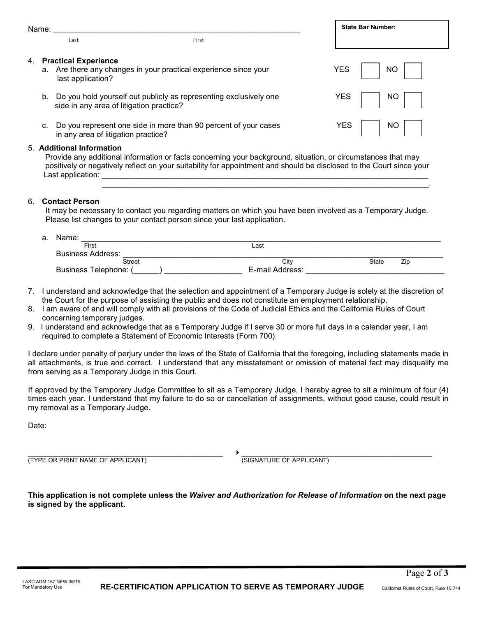|    | Name: |                                                                                                                      |                                                                                                                                                                                                                                      | <b>State Bar Number:</b> |     |  |
|----|-------|----------------------------------------------------------------------------------------------------------------------|--------------------------------------------------------------------------------------------------------------------------------------------------------------------------------------------------------------------------------------|--------------------------|-----|--|
|    |       | l ast                                                                                                                | First                                                                                                                                                                                                                                |                          |     |  |
| 4. |       | <b>Practical Experience</b><br>a. Are there any changes in your practical experience since your<br>last application? |                                                                                                                                                                                                                                      | <b>YES</b>               | NO  |  |
|    |       | b. Do you hold yourself out publicly as representing exclusively one<br>side in any area of litigation practice?     |                                                                                                                                                                                                                                      | <b>YES</b>               | NΟ  |  |
|    | C.    | Do you represent one side in more than 90 percent of your cases<br>in any area of litigation practice?               |                                                                                                                                                                                                                                      | YES                      | NO. |  |
|    |       | 5. Additional Information<br>Last application:                                                                       | Provide any additional information or facts concerning your background, situation, or circumstances that may<br>positively or negatively reflect on your suitability for appointment and should be disclosed to the Court since your |                          |     |  |

#### 6. **Contact Person**

It may be necessary to contact you regarding matters on which you have been involved as a Temporary Judge. Please list changes to your contact person since your last application.

\_\_\_\_\_\_\_\_\_\_\_\_\_\_\_\_\_\_\_\_\_\_\_\_\_\_\_\_\_\_\_\_\_\_\_\_\_\_\_\_\_\_\_\_\_\_\_\_\_\_\_\_\_\_\_\_\_\_\_\_\_\_\_\_\_\_\_\_\_\_\_\_\_\_\_\_.

| a. | Name:                    |                 |                     |  |  |  |  |  |
|----|--------------------------|-----------------|---------------------|--|--|--|--|--|
|    | First                    | Last            |                     |  |  |  |  |  |
|    | <b>Business Address:</b> |                 |                     |  |  |  |  |  |
|    | <b>Street</b>            | Citv            | <b>State</b><br>Zip |  |  |  |  |  |
|    | Business Telephone: (    | E-mail Address: |                     |  |  |  |  |  |

- 7. I understand and acknowledge that the selection and appointment of a Temporary Judge is solely at the discretion of the Court for the purpose of assisting the public and does not constitute an employment relationship.
- 8. I am aware of and will comply with all provisions of the Code of Judicial Ethics and the California Rules of Court concerning temporary judges.
- 9. I understand and acknowledge that as a Temporary Judge if I serve 30 or more full days in a calendar year, I am required to complete a Statement of Economic Interests (Form 700).

I declare under penalty of perjury under the laws of the State of California that the foregoing, including statements made in all attachments, is true and correct. I understand that any misstatement or omission of material fact may disqualify me from serving as a Temporary Judge in this Court.

If approved by the Temporary Judge Committee to sit as a Temporary Judge, I hereby agree to sit a minimum of four (4) times each year. I understand that my failure to do so or cancellation of assignments, without good cause, could result in my removal as a Temporary Judge.

Date:

(TYPE OR PRINT NAME OF APPLICANT) (SIGNATURE OF APPLICANT)

 $\longrightarrow$  . The contribution of the contribution of  $\longrightarrow$  . The contribution of the contribution of the contribution of  $\longrightarrow$ 

**This application is not complete unless the** *Waiver and Authorization for Release of Information* **on the next page is signed by the applicant.**